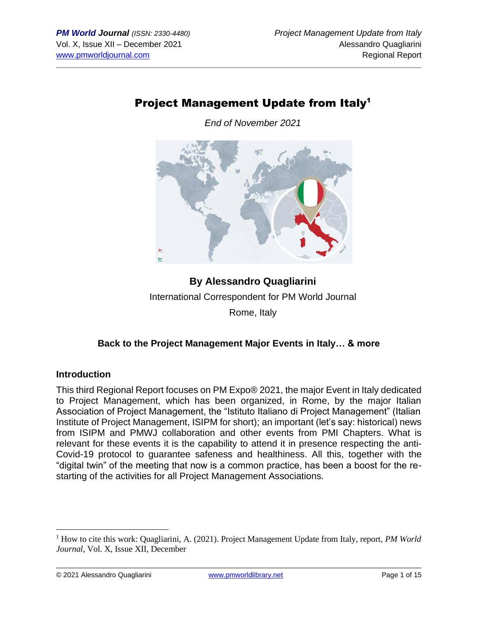## Project Management Update from Italy<sup>1</sup>

*End of November 2021*



# **By Alessandro Quagliarini** International Correspondent for PM World Journal Rome, Italy

### **Back to the Project Management Major Events in Italy… & more**

#### **Introduction**

This third Regional Report focuses on PM Expo® 2021, the major Event in Italy dedicated to Project Management, which has been organized, in Rome, by the major Italian Association of Project Management, the "Istituto Italiano di Project Management" (Italian Institute of Project Management, ISIPM for short); an important (let's say: historical) news from ISIPM and PMWJ collaboration and other events from PMI Chapters. What is relevant for these events it is the capability to attend it in presence respecting the anti-Covid-19 protocol to guarantee safeness and healthiness. All this, together with the "digital twin" of the meeting that now is a common practice, has been a boost for the restarting of the activities for all Project Management Associations.

© 2021 Alessandro Quagliarini [www.pmworldlibrary.net](http://www.pmworldlibrary.net/) Page 1 of 15

<sup>1</sup> How to cite this work: Quagliarini, A. (2021). Project Management Update from Italy, report, *PM World Journal*, Vol. X, Issue XII, December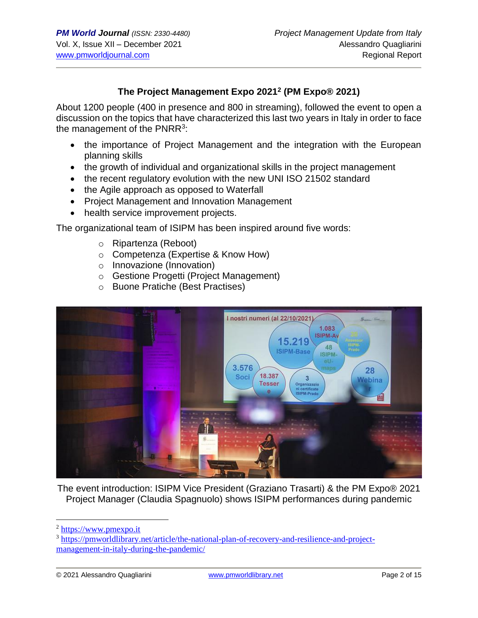## **The Project Management Expo 2021<sup>2</sup> (PM Expo® 2021)**

About 1200 people (400 in presence and 800 in streaming), followed the event to open a discussion on the topics that have characterized this last two years in Italy in order to face the management of the PNRR<sup>3</sup>:

- the importance of Project Management and the integration with the European planning skills
- the growth of individual and organizational skills in the project management
- the recent regulatory evolution with the new UNI ISO 21502 standard
- the Agile approach as opposed to Waterfall
- Project Management and Innovation Management
- health service improvement projects.

The organizational team of ISIPM has been inspired around five words:

- o Ripartenza (Reboot)
- o Competenza (Expertise & Know How)
- o Innovazione (Innovation)
- o Gestione Progetti (Project Management)
- o Buone Pratiche (Best Practises)



The event introduction: ISIPM Vice President (Graziano Trasarti) & the PM Expo® 2021 Project Manager (Claudia Spagnuolo) shows ISIPM performances during pandemic

<sup>2</sup> [https://www.pmexpo.it](https://www.pmexpo.it/)

<sup>3</sup> [https://pmworldlibrary.net/article/the-national-plan-of-recovery-and-resilience-and-project](https://pmworldlibrary.net/article/the-national-plan-of-recovery-and-resilience-and-project-management-in-italy-during-the-pandemic/)[management-in-italy-during-the-pandemic/](https://pmworldlibrary.net/article/the-national-plan-of-recovery-and-resilience-and-project-management-in-italy-during-the-pandemic/)

<sup>© 2021</sup> Alessandro Quagliarini [www.pmworldlibrary.net](http://www.pmworldlibrary.net/) Page 2 of 15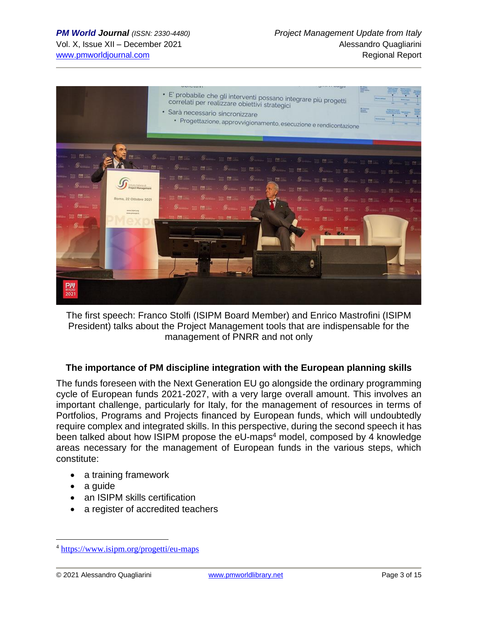

The first speech: Franco Stolfi (ISIPM Board Member) and Enrico Mastrofini (ISIPM President) talks about the Project Management tools that are indispensable for the management of PNRR and not only

#### **The importance of PM discipline integration with the European planning skills**

The funds foreseen with the Next Generation EU go alongside the ordinary programming cycle of European funds 2021-2027, with a very large overall amount. This involves an important challenge, particularly for Italy, for the management of resources in terms of Portfolios, Programs and Projects financed by European funds, which will undoubtedly require complex and integrated skills. In this perspective, during the second speech it has been talked about how ISIPM propose the eU-maps<sup>4</sup> model, composed by 4 knowledge areas necessary for the management of European funds in the various steps, which constitute:

- a training framework
- a quide
- an ISIPM skills certification
- a register of accredited teachers

<sup>4</sup> <https://www.isipm.org/progetti/eu-maps>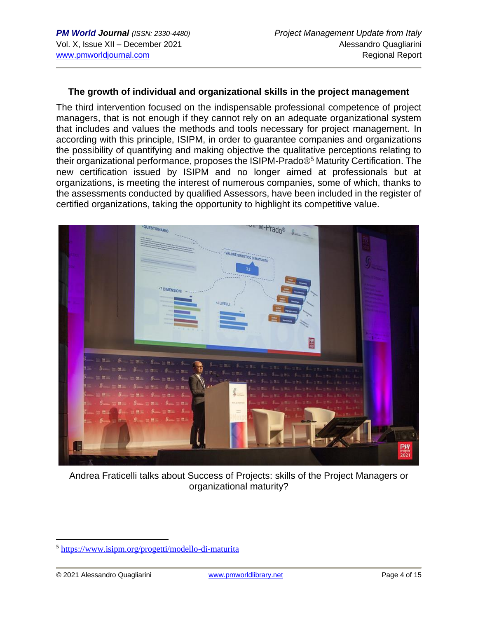#### **The growth of individual and organizational skills in the project management**

The third intervention focused on the indispensable professional competence of project managers, that is not enough if they cannot rely on an adequate organizational system that includes and values the methods and tools necessary for project management. In according with this principle, ISIPM, in order to guarantee companies and organizations the possibility of quantifying and making objective the qualitative perceptions relating to their organizational performance, proposes the ISIPM-Prado®<sup>5</sup> Maturity Certification. The new certification issued by ISIPM and no longer aimed at professionals but at organizations, is meeting the interest of numerous companies, some of which, thanks to the assessments conducted by qualified Assessors, have been included in the register of certified organizations, taking the opportunity to highlight its competitive value.



Andrea Fraticelli talks about Success of Projects: skills of the Project Managers or organizational maturity?

<sup>5</sup> <https://www.isipm.org/progetti/modello-di-maturita>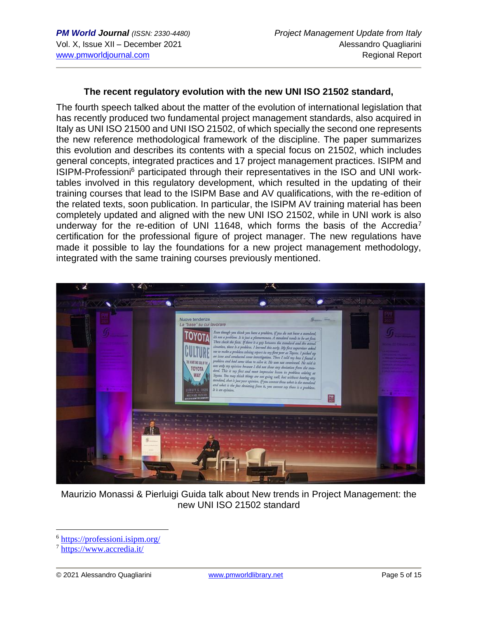#### **The recent regulatory evolution with the new UNI ISO 21502 standard,**

The fourth speech talked about the matter of the evolution of international legislation that has recently produced two fundamental project management standards, also acquired in Italy as UNI ISO 21500 and UNI ISO 21502, of which specially the second one represents the new reference methodological framework of the discipline. The paper summarizes this evolution and describes its contents with a special focus on 21502, which includes general concepts, integrated practices and 17 project management practices. ISIPM and ISIPM-Professioni<sup>6</sup> participated through their representatives in the ISO and UNI worktables involved in this regulatory development, which resulted in the updating of their training courses that lead to the ISIPM Base and AV qualifications, with the re-edition of the related texts, soon publication. In particular, the ISIPM AV training material has been completely updated and aligned with the new UNI ISO 21502, while in UNI work is also underway for the re-edition of UNI 11648, which forms the basis of the Accredia<sup>7</sup> certification for the professional figure of project manager. The new regulations have made it possible to lay the foundations for a new project management methodology, integrated with the same training courses previously mentioned.



Maurizio Monassi & Pierluigi Guida talk about New trends in Project Management: the new UNI ISO 21502 standard

<sup>6</sup> <https://professioni.isipm.org/>

<sup>7</sup> <https://www.accredia.it/>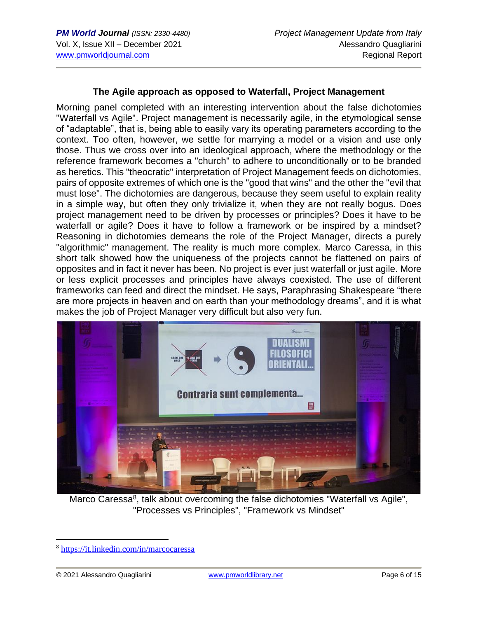#### **The Agile approach as opposed to Waterfall, Project Management**

Morning panel completed with an interesting intervention about the false dichotomies "Waterfall vs Agile". Project management is necessarily agile, in the etymological sense of "adaptable", that is, being able to easily vary its operating parameters according to the context. Too often, however, we settle for marrying a model or a vision and use only those. Thus we cross over into an ideological approach, where the methodology or the reference framework becomes a "church" to adhere to unconditionally or to be branded as heretics. This "theocratic" interpretation of Project Management feeds on dichotomies, pairs of opposite extremes of which one is the "good that wins" and the other the "evil that must lose". The dichotomies are dangerous, because they seem useful to explain reality in a simple way, but often they only trivialize it, when they are not really bogus. Does project management need to be driven by processes or principles? Does it have to be waterfall or agile? Does it have to follow a framework or be inspired by a mindset? Reasoning in dichotomies demeans the role of the Project Manager, directs a purely "algorithmic" management. The reality is much more complex. Marco Caressa, in this short talk showed how the uniqueness of the projects cannot be flattened on pairs of opposites and in fact it never has been. No project is ever just waterfall or just agile. More or less explicit processes and principles have always coexisted. The use of different frameworks can feed and direct the mindset. He says, Paraphrasing Shakespeare "there are more projects in heaven and on earth than your methodology dreams", and it is what makes the job of Project Manager very difficult but also very fun.



Marco Caressa<sup>8</sup>, talk about overcoming the false dichotomies "Waterfall vs Agile", "Processes vs Principles", "Framework vs Mindset"

<sup>8</sup> <https://it.linkedin.com/in/marcocaressa>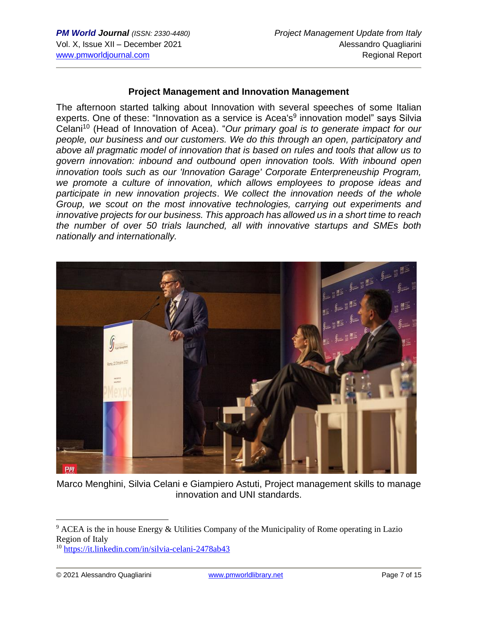#### **Project Management and Innovation Management**

The afternoon started talking about Innovation with several speeches of some Italian experts. One of these: "Innovation as a service is Acea's<sup>9</sup> innovation model" says Silvia Celani<sup>10</sup> (Head of Innovation of Acea). "*Our primary goal is to generate impact for our people, our business and our customers. We do this through an open, participatory and above all pragmatic model of innovation that is based on rules and tools that allow us to govern innovation: inbound and outbound open innovation tools. With inbound open innovation tools such as our 'Innovation Garage' Corporate Enterpreneuship Program, we promote a culture of innovation, which allows employees to propose ideas and participate in new innovation projects*. *We collect the innovation needs of the whole Group, we scout on the most innovative technologies, carrying out experiments and innovative projects for our business. This approach has allowed us in a short time to reach the number of over 50 trials launched, all with innovative startups and SMEs both nationally and internationally.* 



Marco Menghini, Silvia Celani e Giampiero Astuti, Project management skills to manage innovation and UNI standards.

 $9$  ACEA is the in house Energy & Utilities Company of the Municipality of Rome operating in Lazio Region of Italy

<sup>10</sup> <https://it.linkedin.com/in/silvia-celani-2478ab43>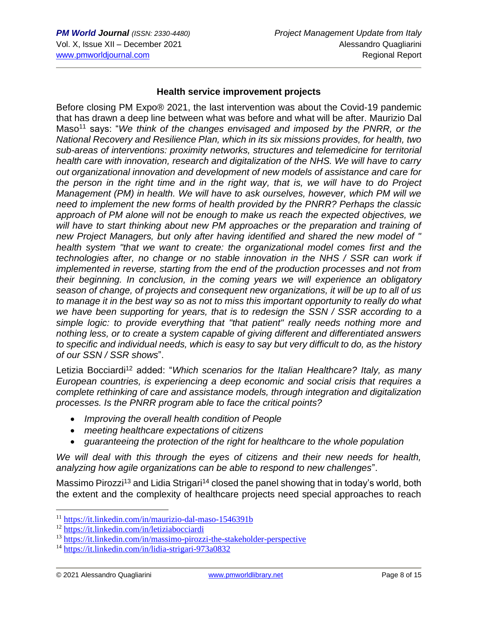#### **Health service improvement projects**

Before closing PM Expo® 2021, the last intervention was about the Covid-19 pandemic that has drawn a deep line between what was before and what will be after. Maurizio Dal Maso<sup>11</sup> says: "We think of the changes envisaged and imposed by the PNRR, or the *National Recovery and Resilience Plan, which in its six missions provides, for health, two sub-areas of interventions: proximity networks, structures and telemedicine for territorial health care with innovation, research and digitalization of the NHS. We will have to carry out organizational innovation and development of new models of assistance and care for the person in the right time and in the right way, that is, we will have to do Project Management (PM) in health. We will have to ask ourselves, however, which PM will we need to implement the new forms of health provided by the PNRR? Perhaps the classic approach of PM alone will not be enough to make us reach the expected objectives, we*  will have to start thinking about new PM approaches or the preparation and training of *new Project Managers, but only after having identified and shared the new model of " health system "that we want to create: the organizational model comes first and the technologies after, no change or no stable innovation in the NHS / SSR can work if implemented in reverse, starting from the end of the production processes and not from their beginning. In conclusion, in the coming years we will experience an obligatory season of change, of projects and consequent new organizations, it will be up to all of us to manage it in the best way so as not to miss this important opportunity to really do what we have been supporting for years, that is to redesign the SSN / SSR according to a simple logic: to provide everything that "that patient" really needs nothing more and nothing less, or to create a system capable of giving different and differentiated answers to specific and individual needs, which is easy to say but very difficult to do, as the history of our SSN / SSR shows*".

Letizia Bocciardi<sup>12</sup> added: "Which scenarios for the Italian Healthcare? Italy, as many *European countries, is experiencing a deep economic and social crisis that requires a complete rethinking of care and assistance models, through integration and digitalization processes. Is the PNRR program able to face the critical points?*

- *Improving the overall health condition of People*
- *meeting healthcare expectations of citizens*
- *guaranteeing the protection of the right for healthcare to the whole population*

*We will deal with this through the eyes of citizens and their new needs for health, analyzing how agile organizations can be able to respond to new challenges*".

Massimo Pirozzi<sup>13</sup> and Lidia Strigari<sup>14</sup> closed the panel showing that in today's world, both the extent and the complexity of healthcare projects need special approaches to reach

<sup>11</sup> <https://it.linkedin.com/in/maurizio-dal-maso-1546391b>

<sup>12</sup> <https://it.linkedin.com/in/letiziabocciardi>

<sup>13</sup> <https://it.linkedin.com/in/massimo-pirozzi-the-stakeholder-perspective>

<sup>14</sup> <https://it.linkedin.com/in/lidia-strigari-973a0832>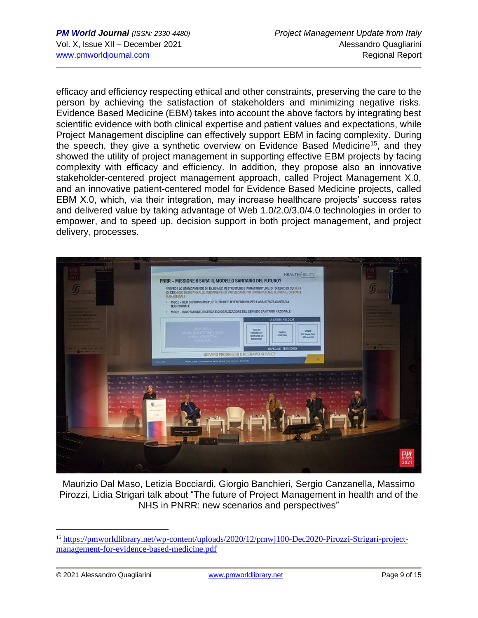efficacy and efficiency respecting ethical and other constraints, preserving the care to the person by achieving the satisfaction of stakeholders and minimizing negative risks. Evidence Based Medicine (EBM) takes into account the above factors by integrating best scientific evidence with both clinical expertise and patient values and expectations, while Project Management discipline can effectively support EBM in facing complexity. During the speech, they give a synthetic overview on Evidence Based Medicine<sup>15</sup>, and they showed the utility of project management in supporting effective EBM projects by facing complexity with efficacy and efficiency. In addition, they propose also an innovative stakeholder-centered project management approach, called Project Management X.0, and an innovative patient-centered model for Evidence Based Medicine projects, called EBM X.0, which, via their integration, may increase healthcare projects' success rates and delivered value by taking advantage of Web 1.0/2.0/3.0/4.0 technologies in order to empower, and to speed up, decision support in both project management, and project delivery, processes.



Maurizio Dal Maso, Letizia Bocciardi, Giorgio Banchieri, Sergio Canzanella, Massimo Pirozzi, Lidia Strigari talk about "The future of Project Management in health and of the NHS in PNRR: new scenarios and perspectives"

<sup>15</sup> [https://pmworldlibrary.net/wp-content/uploads/2020/12/pmwj100-Dec2020-Pirozzi-Strigari-project](https://pmworldlibrary.net/wp-content/uploads/2020/12/pmwj100-Dec2020-Pirozzi-Strigari-project-management-for-evidence-based-medicine.pdf)[management-for-evidence-based-medicine.pdf](https://pmworldlibrary.net/wp-content/uploads/2020/12/pmwj100-Dec2020-Pirozzi-Strigari-project-management-for-evidence-based-medicine.pdf)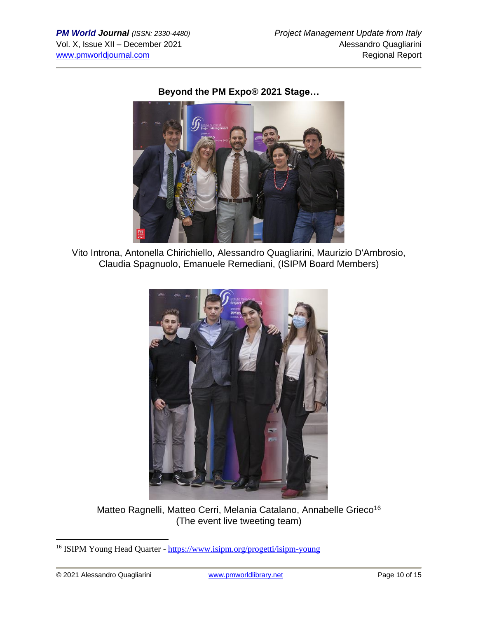

**Beyond the PM Expo® 2021 Stage…**

Vito Introna, Antonella Chirichiello, Alessandro Quagliarini, Maurizio D'Ambrosio, Claudia Spagnuolo, Emanuele Remediani, (ISIPM Board Members)



Matteo Ragnelli, Matteo Cerri, Melania Catalano, Annabelle Grieco<sup>16</sup> (The event live tweeting team)

<sup>&</sup>lt;sup>16</sup> ISIPM Young Head Quarter - <https://www.isipm.org/progetti/isipm-young>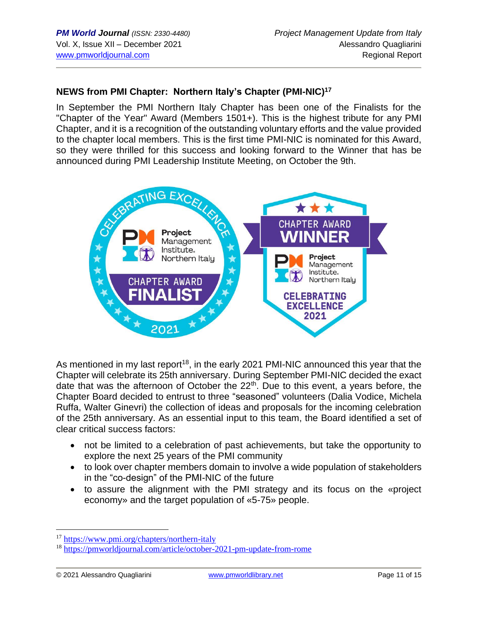#### **NEWS from PMI Chapter: Northern Italy's Chapter (PMI-NIC)<sup>17</sup>**

In September the PMI Northern Italy Chapter has been one of the Finalists for the "Chapter of the Year" Award (Members 1501+). This is the highest tribute for any PMI Chapter, and it is a recognition of the outstanding voluntary efforts and the value provided to the chapter local members. This is the first time PMI-NIC is nominated for this Award, so they were thrilled for this success and looking forward to the Winner that has be announced during PMI Leadership Institute Meeting, on October the 9th.



As mentioned in my last report<sup>18</sup>, in the early 2021 PMI-NIC announced this year that the Chapter will celebrate its 25th anniversary. During September PMI-NIC decided the exact date that was the afternoon of October the  $22<sup>th</sup>$ . Due to this event, a years before, the Chapter Board decided to entrust to three "seasoned" volunteers (Dalia Vodice, Michela Ruffa, Walter Ginevri) the collection of ideas and proposals for the incoming celebration of the 25th anniversary. As an essential input to this team, the Board identified a set of clear critical success factors:

- not be limited to a celebration of past achievements, but take the opportunity to explore the next 25 years of the PMI community
- to look over chapter members domain to involve a wide population of stakeholders in the "co-design" of the PMI-NIC of the future
- to assure the alignment with the PMI strategy and its focus on the «project economy» and the target population of «5-75» people.

<sup>17</sup> <https://www.pmi.org/chapters/northern-italy>

<sup>18</sup> <https://pmworldjournal.com/article/october-2021-pm-update-from-rome>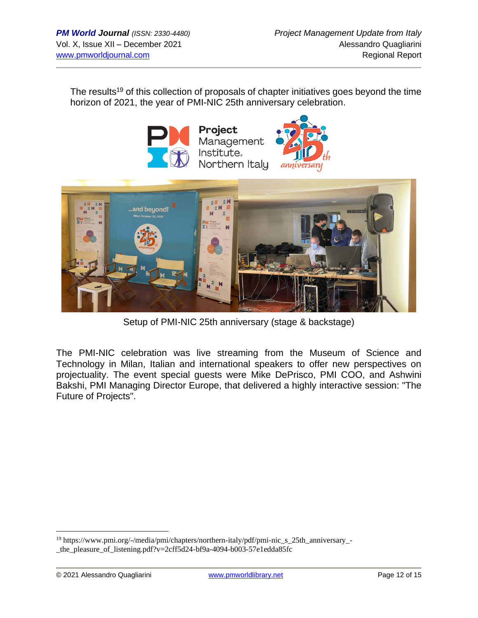The results<sup>19</sup> of this collection of proposals of chapter initiatives goes beyond the time horizon of 2021, the year of PMI-NIC 25th anniversary celebration.



Project Management Institute. Northern Italy





Setup of PMI-NIC 25th anniversary (stage & backstage)

The PMI-NIC celebration was live streaming from the Museum of Science and Technology in Milan, Italian and international speakers to offer new perspectives on projectuality. The event special guests were Mike DePrisco, PMI COO, and Ashwini Bakshi, PMI Managing Director Europe, that delivered a highly interactive session: "The Future of Projects".

<sup>&</sup>lt;sup>19</sup> https://www.pmi.org/-/media/pmi/chapters/northern-italy/pdf/pmi-nic\_s\_25th\_anniversary\_-\_the\_pleasure\_of\_listening.pdf?v=2cff5d24-bf9a-4094-b003-57e1edda85fc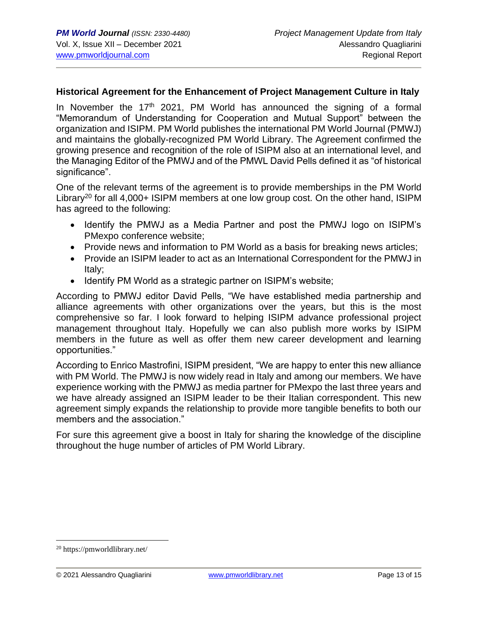#### **Historical Agreement for the Enhancement of Project Management Culture in Italy**

In November the  $17<sup>th</sup>$  2021, PM World has announced the signing of a formal "Memorandum of Understanding for Cooperation and Mutual Support" between the organization and ISIPM. PM World publishes the international PM World Journal (PMWJ) and maintains the globally-recognized PM World Library. The Agreement confirmed the growing presence and recognition of the role of ISIPM also at an international level, and the Managing Editor of the PMWJ and of the PMWL David Pells defined it as "of historical significance".

One of the relevant terms of the agreement is to provide memberships in the PM World Library<sup>20</sup> for all 4,000+ ISIPM members at one low group cost. On the other hand, ISIPM has agreed to the following:

- Identify the PMWJ as a Media Partner and post the PMWJ logo on ISIPM's PMexpo conference website;
- Provide news and information to PM World as a basis for breaking news articles;
- Provide an ISIPM leader to act as an International Correspondent for the PMWJ in Italy;
- Identify PM World as a strategic partner on ISIPM's website;

According to PMWJ editor David Pells, "We have established media partnership and alliance agreements with other organizations over the years, but this is the most comprehensive so far. I look forward to helping ISIPM advance professional project management throughout Italy. Hopefully we can also publish more works by ISIPM members in the future as well as offer them new career development and learning opportunities."

According to Enrico Mastrofini, ISIPM president, "We are happy to enter this new alliance with PM World. The PMWJ is now widely read in Italy and among our members. We have experience working with the PMWJ as media partner for PMexpo the last three years and we have already assigned an ISIPM leader to be their Italian correspondent. This new agreement simply expands the relationship to provide more tangible benefits to both our members and the association."

For sure this agreement give a boost in Italy for sharing the knowledge of the discipline throughout the huge number of articles of PM World Library.

<sup>20</sup> https://pmworldlibrary.net/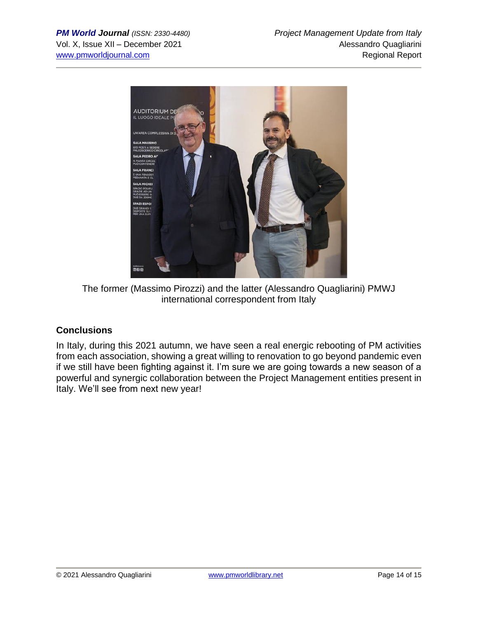

The former (Massimo Pirozzi) and the latter (Alessandro Quagliarini) PMWJ international correspondent from Italy

### **Conclusions**

In Italy, during this 2021 autumn, we have seen a real energic rebooting of PM activities from each association, showing a great willing to renovation to go beyond pandemic even if we still have been fighting against it. I'm sure we are going towards a new season of a powerful and synergic collaboration between the Project Management entities present in Italy. We'll see from next new year!